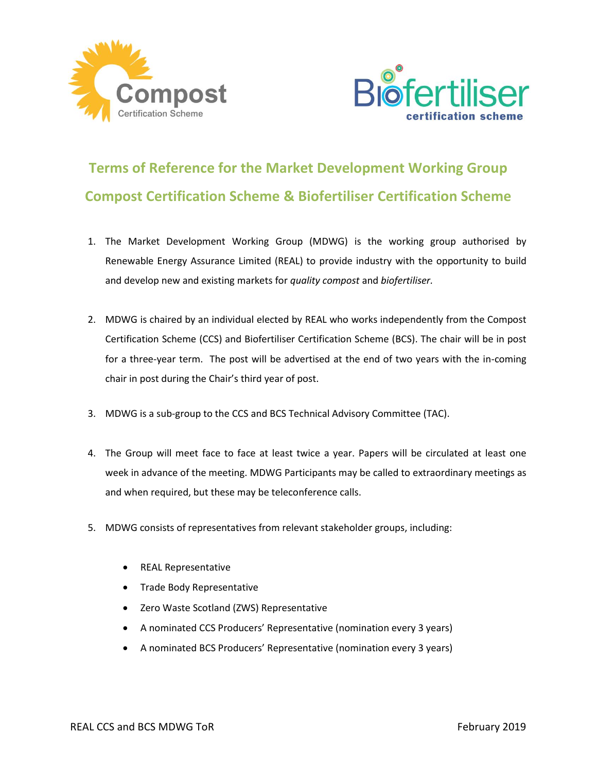



## **Terms of Reference for the Market Development Working Group Compost Certification Scheme & Biofertiliser Certification Scheme**

- 1. The Market Development Working Group (MDWG) is the working group authorised by Renewable Energy Assurance Limited (REAL) to provide industry with the opportunity to build and develop new and existing markets for *quality compost* and *biofertiliser.*
- 2. MDWG is chaired by an individual elected by REAL who works independently from the Compost Certification Scheme (CCS) and Biofertiliser Certification Scheme (BCS). The chair will be in post for a three-year term. The post will be advertised at the end of two years with the in-coming chair in post during the Chair's third year of post.
- 3. MDWG is a sub-group to the CCS and BCS Technical Advisory Committee (TAC).
- 4. The Group will meet face to face at least twice a year. Papers will be circulated at least one week in advance of the meeting. MDWG Participants may be called to extraordinary meetings as and when required, but these may be teleconference calls.
- 5. MDWG consists of representatives from relevant stakeholder groups, including:
	- REAL Representative
	- Trade Body Representative
	- Zero Waste Scotland (ZWS) Representative
	- A nominated CCS Producers' Representative (nomination every 3 years)
	- A nominated BCS Producers' Representative (nomination every 3 years)